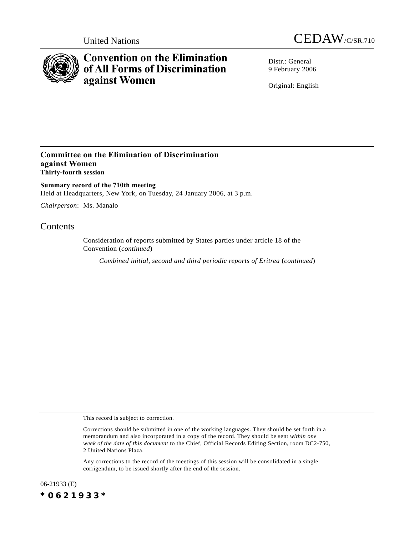



# **Convention on the Elimination of All Forms of Discrimination against Women**

Distr · General 9 February 2006

Original: English

## **Committee on the Elimination of Discrimination against Women Thirty-fourth session**

**Summary record of the 710th meeting** Held at Headquarters, New York, on Tuesday, 24 January 2006, at 3 p.m.

*Chairperson*: Ms. Manalo

# **Contents**

Consideration of reports submitted by States parties under article 18 of the Convention (*continued*)

*Combined initial, second and third periodic reports of Eritrea (continued)* 

This record is subject to correction.

Any corrections to the record of the meetings of this session will be consolidated in a single corrigendum, to be issued shortly after the end of the session.

06-21933 (E) *\*0621933\**

Corrections should be submitted in one of the working languages. They should be set forth in a memorandum and also incorporated in a copy of the record. They should be sent *within one week of the date of this document* to the Chief, Official Records Editing Section, room DC2-750, 2 United Nations Plaza.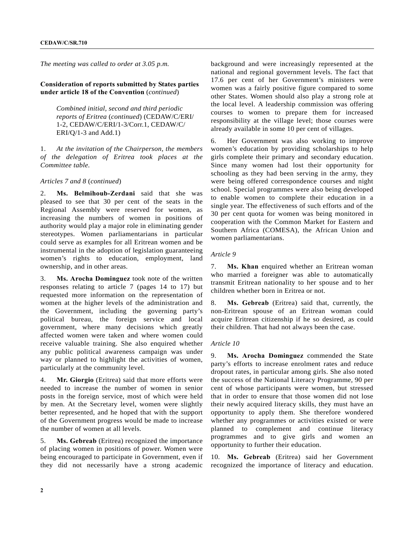*The meeting was called to order at 3.05 p.m.*

**Consideration of reports submitted by States parties under article 18 of the Convention** (*continued*)

> *Combined initial, second and third periodic reports of Eritrea* (*continued*) (CEDAW/C/ERI/ 1-2, CEDAW/C/ERI/1-3/Corr.1, CEDAW/C/ ERI/Q/1-3 and Add.1)

1. *At the invitation of the Chairperson, the members of the delegation of Eritrea took places at the Committee table.*

#### *Articles 7 and 8* (*continued*)

2. **Ms. Belmihoub-Zerdani** said that she was pleased to see that 30 per cent of the seats in the Regional Assembly were reserved for women, as increasing the numbers of women in positions of authority would play a major role in eliminating gender stereotypes. Women parliamentarians in particular could serve as examples for all Eritrean women and be instrumental in the adoption of legislation guaranteeing women's rights to education, employment, land ownership, and in other areas.

3. **Ms. Arocha Dominguez** took note of the written responses relating to article 7 (pages 14 to 17) but requested more information on the representation of women at the higher levels of the administration and the Government, including the governing party's political bureau, the foreign service and local government, where many decisions which greatly affected women were taken and where women could receive valuable training. She also enquired whether any public political awareness campaign was under way or planned to highlight the activities of women, particularly at the community level.

4. **Mr. Giorgio** (Eritrea) said that more efforts were needed to increase the number of women in senior posts in the foreign service, most of which were held by men. At the Secretary level, women were slightly better represented, and he hoped that with the support of the Government progress would be made to increase the number of women at all levels.

5. **Ms. Gebreab** (Eritrea) recognized the importance of placing women in positions of power. Women were being encouraged to participate in Government, even if they did not necessarily have a strong academic

background and were increasingly represented at the national and regional government levels. The fact that 17.6 per cent of her Government's ministers were women was a fairly positive figure compared to some other States. Women should also play a strong role at the local level. A leadership commission was offering courses to women to prepare them for increased responsibility at the village level; those courses were already available in some 10 per cent of villages.

6. Her Government was also working to improve women's education by providing scholarships to help girls complete their primary and secondary education. Since many women had lost their opportunity for schooling as they had been serving in the army, they were being offered correspondence courses and night school. Special programmes were also being developed to enable women to complete their education in a single year. The effectiveness of such efforts and of the 30 per cent quota for women was being monitored in cooperation with the Common Market for Eastern and Southern Africa (COMESA), the African Union and women parliamentarians.

#### *Article 9*

7. **Ms. Khan** enquired whether an Eritrean woman who married a foreigner was able to automatically transmit Eritrean nationality to her spouse and to her children whether born in Eritrea or not.

8. **Ms. Gebreab** (Eritrea) said that, currently, the non-Eritrean spouse of an Eritrean woman could acquire Eritrean citizenship if he so desired, as could their children. That had not always been the case.

#### *Article 10*

9. **Ms. Arocha Dominguez** commended the State party's efforts to increase enrolment rates and reduce dropout rates, in particular among girls. She also noted the success of the National Literacy Programme, 90 per cent of whose participants were women, but stressed that in order to ensure that those women did not lose their newly acquired literacy skills, they must have an opportunity to apply them. She therefore wondered whether any programmes or activities existed or were planned to complement and continue literacy programmes and to give girls and women an opportunity to further their education.

10. **Ms. Gebreab** (Eritrea) said her Government recognized the importance of literacy and education.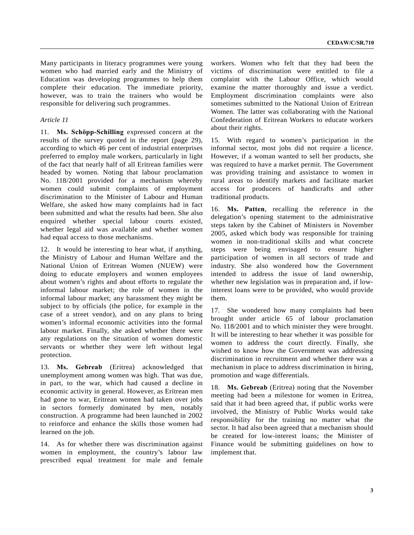Many participants in literacy programmes were young women who had married early and the Ministry of Education was developing programmes to help them complete their education. The immediate priority, however, was to train the trainers who would be responsible for delivering such programmes.

#### *Article 11*

11. **Ms. Schöpp-Schilling** expressed concern at the results of the survey quoted in the report (page 29), according to which 46 per cent of industrial enterprises preferred to employ male workers, particularly in light of the fact that nearly half of all Eritrean families were headed by women. Noting that labour proclamation No. 118/2001 provided for a mechanism whereby women could submit complaints of employment discrimination to the Minister of Labour and Human Welfare, she asked how many complaints had in fact been submitted and what the results had been. She also enquired whether special labour courts existed, whether legal aid was available and whether women had equal access to those mechanisms.

12. It would be interesting to hear what, if anything, the Ministry of Labour and Human Welfare and the National Union of Eritrean Women (NUEW) were doing to educate employers and women employees about women's rights and about efforts to regulate the informal labour market; the role of women in the informal labour market; any harassment they might be subject to by officials (the police, for example in the case of a street vendor), and on any plans to bring women's informal economic activities into the formal labour market. Finally, she asked whether there were any regulations on the situation of women domestic servants or whether they were left without legal protection.

13. **Ms. Gebreab** (Eritrea) acknowledged that unemployment among women was high. That was due, in part, to the war, which had caused a decline in economic activity in general. However, as Eritrean men had gone to war, Eritrean women had taken over jobs in sectors formerly dominated by men, notably construction. A programme had been launched in 2002 to reinforce and enhance the skills those women had learned on the job.

14. As for whether there was discrimination against women in employment, the country's labour law prescribed equal treatment for male and female workers. Women who felt that they had been the victims of discrimination were entitled to file a complaint with the Labour Office, which would examine the matter thoroughly and issue a verdict. Employment discrimination complaints were also sometimes submitted to the National Union of Eritrean Women. The latter was collaborating with the National Confederation of Eritrean Workers to educate workers about their rights.

15. With regard to women's participation in the informal sector, most jobs did not require a licence. However, if a woman wanted to sell her products, she was required to have a market permit. The Government was providing training and assistance to women in rural areas to identify markets and facilitate market access for producers of handicrafts and other traditional products.

16. **Ms. Patten**, recalling the reference in the delegation's opening statement to the administrative steps taken by the Cabinet of Ministers in November 2005, asked which body was responsible for training women in non-traditional skills and what concrete steps were being envisaged to ensure higher participation of women in all sectors of trade and industry. She also wondered how the Government intended to address the issue of land ownership, whether new legislation was in preparation and, if lowinterest loans were to be provided, who would provide them.

17. She wondered how many complaints had been brought under article 65 of labour proclamation No. 118/2001 and to which minister they were brought. It will be interesting to hear whether it was possible for women to address the court directly. Finally, she wished to know how the Government was addressing discrimination in recruitment and whether there was a mechanism in place to address discrimination in hiring, promotion and wage differentials.

18. **Ms. Gebreab** (Eritrea) noting that the November meeting had been a milestone for women in Eritrea, said that it had been agreed that, if public works were involved, the Ministry of Public Works would take responsibility for the training no matter what the sector. It had also been agreed that a mechanism should be created for low-interest loans; the Minister of Finance would be submitting guidelines on how to implement that.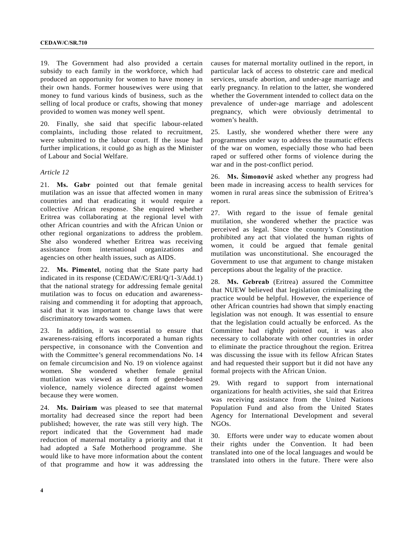19. The Government had also provided a certain subsidy to each family in the workforce, which had produced an opportunity for women to have money in their own hands. Former housewives were using that money to fund various kinds of business, such as the selling of local produce or crafts, showing that money provided to women was money well spent.

20. Finally, she said that specific labour-related complaints, including those related to recruitment, were submitted to the labour court. If the issue had further implications, it could go as high as the Minister of Labour and Social Welfare.

### *Article 12*

21. **Ms. Gabr** pointed out that female genital mutilation was an issue that affected women in many countries and that eradicating it would require a collective African response. She enquired whether Eritrea was collaborating at the regional level with other African countries and with the African Union or other regional organizations to address the problem. She also wondered whether Eritrea was receiving assistance from international organizations and agencies on other health issues, such as AIDS.

22. **Ms. Pimentel**, noting that the State party had indicated in its response (CEDAW/C/ERI/Q/1-3/Add.1) that the national strategy for addressing female genital mutilation was to focus on education and awarenessraising and commending it for adopting that approach, said that it was important to change laws that were discriminatory towards women.

23. In addition, it was essential to ensure that awareness-raising efforts incorporated a human rights perspective, in consonance with the Convention and with the Committee's general recommendations No. 14 on female circumcision and No. 19 on violence against women. She wondered whether female genital mutilation was viewed as a form of gender-based violence, namely violence directed against women because they were women.

24. **Ms. Dairiam** was pleased to see that maternal mortality had decreased since the report had been published; however, the rate was still very high. The report indicated that the Government had made reduction of maternal mortality a priority and that it had adopted a Safe Motherhood programme. She would like to have more information about the content of that programme and how it was addressing the

causes for maternal mortality outlined in the report, in particular lack of access to obstetric care and medical services, unsafe abortion, and under-age marriage and early pregnancy. In relation to the latter, she wondered whether the Government intended to collect data on the prevalence of under-age marriage and adolescent pregnancy, which were obviously detrimental to women's health.

25. Lastly, she wondered whether there were any programmes under way to address the traumatic effects of the war on women, especially those who had been raped or suffered other forms of violence during the war and in the post-conflict period.

26. **Ms. äimonović** asked whether any progress had been made in increasing access to health services for women in rural areas since the submission of Eritrea's report.

27. With regard to the issue of female genital mutilation, she wondered whether the practice was perceived as legal. Since the country's Constitution prohibited any act that violated the human rights of women, it could be argued that female genital mutilation was unconstitutional. She encouraged the Government to use that argument to change mistaken perceptions about the legality of the practice.

28. **Ms. Gebreab** (Eritrea) assured the Committee that NUEW believed that legislation criminalizing the practice would be helpful. However, the experience of other African countries had shown that simply enacting legislation was not enough. It was essential to ensure that the legislation could actually be enforced. As the Committee had rightly pointed out, it was also necessary to collaborate with other countries in order to eliminate the practice throughout the region. Eritrea was discussing the issue with its fellow African States and had requested their support but it did not have any formal projects with the African Union.

29. With regard to support from international organizations for health activities, she said that Eritrea was receiving assistance from the United Nations Population Fund and also from the United States Agency for International Development and several NGOs.

30. Efforts were under way to educate women about their rights under the Convention. It had been translated into one of the local languages and would be translated into others in the future. There were also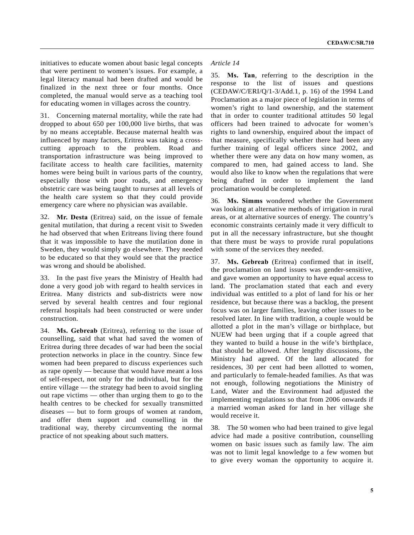initiatives to educate women about basic legal concepts that were pertinent to women's issues. For example, a legal literacy manual had been drafted and would be finalized in the next three or four months. Once completed, the manual would serve as a teaching tool for educating women in villages across the country.

31. Concerning maternal mortality, while the rate had dropped to about 650 per 100,000 live births, that was by no means acceptable. Because maternal health was influenced by many factors, Eritrea was taking a crosscutting approach to the problem. Road and transportation infrastructure was being improved to facilitate access to health care facilities, maternity homes were being built in various parts of the country, especially those with poor roads, and emergency obstetric care was being taught to nurses at all levels of the health care system so that they could provide emergency care where no physician was available.

32. **Mr. Desta** (Eritrea) said, on the issue of female genital mutilation, that during a recent visit to Sweden he had observed that when Eritreans living there found that it was impossible to have the mutilation done in Sweden, they would simply go elsewhere. They needed to be educated so that they would see that the practice was wrong and should be abolished.

33. In the past five years the Ministry of Health had done a very good job with regard to health services in Eritrea. Many districts and sub-districts were now served by several health centres and four regional referral hospitals had been constructed or were under construction.

34. **Ms. Gebreab** (Eritrea), referring to the issue of counselling, said that what had saved the women of Eritrea during three decades of war had been the social protection networks in place in the country. Since few women had been prepared to discuss experiences such as rape openly — because that would have meant a loss of self-respect, not only for the individual, but for the entire village — the strategy had been to avoid singling out rape victims — other than urging them to go to the health centres to be checked for sexually transmitted diseases — but to form groups of women at random, and offer them support and counselling in the traditional way, thereby circumventing the normal practice of not speaking about such matters.

## *Article 14*

35. **Ms. Tan**, referring to the description in the response to the list of issues and questions (CEDAW/C/ERI/Q/1-3/Add.1, p. 16) of the 1994 Land Proclamation as a major piece of legislation in terms of women's right to land ownership, and the statement that in order to counter traditional attitudes 50 legal officers had been trained to advocate for women's rights to land ownership, enquired about the impact of that measure, specifically whether there had been any further training of legal officers since 2002, and whether there were any data on how many women, as compared to men, had gained access to land. She would also like to know when the regulations that were being drafted in order to implement the land proclamation would be completed.

36. **Ms. Simms** wondered whether the Government was looking at alternative methods of irrigation in rural areas, or at alternative sources of energy. The country's economic constraints certainly made it very difficult to put in all the necessary infrastructure, but she thought that there must be ways to provide rural populations with some of the services they needed.

37. **Ms. Gebreab** (Eritrea) confirmed that in itself, the proclamation on land issues was gender-sensitive, and gave women an opportunity to have equal access to land. The proclamation stated that each and every individual was entitled to a plot of land for his or her residence, but because there was a backlog, the present focus was on larger families, leaving other issues to be resolved later. In line with tradition, a couple would be allotted a plot in the man's village or birthplace, but NUEW had been urging that if a couple agreed that they wanted to build a house in the wife's birthplace, that should be allowed. After lengthy discussions, the Ministry had agreed. Of the land allocated for residences, 30 per cent had been allotted to women, and particularly to female-headed families. As that was not enough, following negotiations the Ministry of Land, Water and the Environment had adjusted the implementing regulations so that from 2006 onwards if a married woman asked for land in her village she would receive it.

38. The 50 women who had been trained to give legal advice had made a positive contribution, counselling women on basic issues such as family law. The aim was not to limit legal knowledge to a few women but to give every woman the opportunity to acquire it.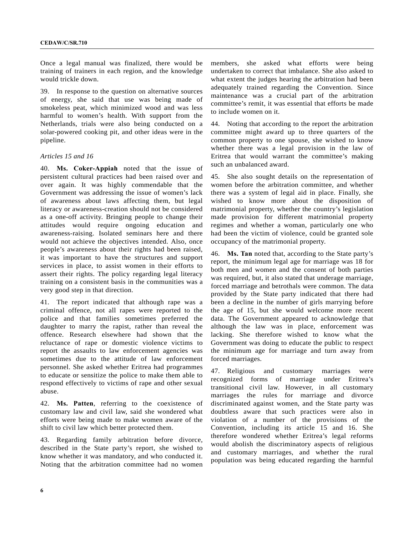Once a legal manual was finalized, there would be training of trainers in each region, and the knowledge would trickle down.

39. In response to the question on alternative sources of energy, she said that use was being made of smokeless peat, which minimized wood and was less harmful to women's health. With support from the Netherlands, trials were also being conducted on a solar-powered cooking pit, and other ideas were in the pipeline.

### *Articles 15 and 16*

40. **Ms. Coker-Appiah** noted that the issue of persistent cultural practices had been raised over and over again. It was highly commendable that the Government was addressing the issue of women's lack of awareness about laws affecting them, but legal literacy or awareness-creation should not be considered as a one-off activity. Bringing people to change their attitudes would require ongoing education and awareness-raising. Isolated seminars here and there would not achieve the objectives intended. Also, once people's awareness about their rights had been raised, it was important to have the structures and support services in place, to assist women in their efforts to assert their rights. The policy regarding legal literacy training on a consistent basis in the communities was a very good step in that direction.

41. The report indicated that although rape was a criminal offence, not all rapes were reported to the police and that families sometimes preferred the daughter to marry the rapist, rather than reveal the offence. Research elsewhere had shown that the reluctance of rape or domestic violence victims to report the assaults to law enforcement agencies was sometimes due to the attitude of law enforcement personnel. She asked whether Eritrea had programmes to educate or sensitize the police to make them able to respond effectively to victims of rape and other sexual abuse.

42. **Ms. Patten**, referring to the coexistence of customary law and civil law, said she wondered what efforts were being made to make women aware of the shift to civil law which better protected them.

43. Regarding family arbitration before divorce, described in the State party's report, she wished to know whether it was mandatory, and who conducted it. Noting that the arbitration committee had no women

members, she asked what efforts were being undertaken to correct that imbalance. She also asked to what extent the judges hearing the arbitration had been adequately trained regarding the Convention. Since maintenance was a crucial part of the arbitration committee's remit, it was essential that efforts be made to include women on it.

44. Noting that according to the report the arbitration committee might award up to three quarters of the common property to one spouse, she wished to know whether there was a legal provision in the law of Eritrea that would warrant the committee's making such an unbalanced award.

45. She also sought details on the representation of women before the arbitration committee, and whether there was a system of legal aid in place. Finally, she wished to know more about the disposition of matrimonial property, whether the country's legislation made provision for different matrimonial property regimes and whether a woman, particularly one who had been the victim of violence, could be granted sole occupancy of the matrimonial property.

46. **Ms. Tan** noted that, according to the State party's report, the minimum legal age for marriage was 18 for both men and women and the consent of both parties was required, but, it also stated that underage marriage, forced marriage and betrothals were common. The data provided by the State party indicated that there had been a decline in the number of girls marrying before the age of 15, but she would welcome more recent data. The Government appeared to acknowledge that although the law was in place, enforcement was lacking. She therefore wished to know what the Government was doing to educate the public to respect the minimum age for marriage and turn away from forced marriages.

47. Religious and customary marriages were recognized forms of marriage under Eritrea's transitional civil law. However, in all customary marriages the rules for marriage and divorce discriminated against women, and the State party was doubtless aware that such practices were also in violation of a number of the provisions of the Convention, including its article 15 and 16. She therefore wondered whether Eritrea's legal reforms would abolish the discriminatory aspects of religious and customary marriages, and whether the rural population was being educated regarding the harmful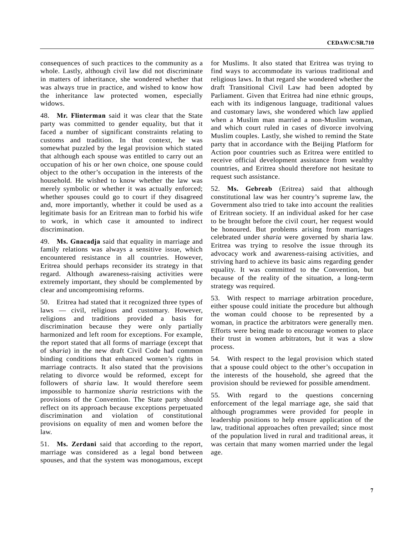consequences of such practices to the community as a whole. Lastly, although civil law did not discriminate in matters of inheritance, she wondered whether that was always true in practice, and wished to know how the inheritance law protected women, especially widows.

48. **Mr. Flinterman** said it was clear that the State party was committed to gender equality, but that it faced a number of significant constraints relating to customs and tradition. In that context, he was somewhat puzzled by the legal provision which stated that although each spouse was entitled to carry out an occupation of his or her own choice, one spouse could object to the other's occupation in the interests of the household. He wished to know whether the law was merely symbolic or whether it was actually enforced; whether spouses could go to court if they disagreed and, more importantly, whether it could be used as a legitimate basis for an Eritrean man to forbid his wife to work, in which case it amounted to indirect discrimination.

49. **Ms. Gnacadja** said that equality in marriage and family relations was always a sensitive issue, which encountered resistance in all countries. However, Eritrea should perhaps reconsider its strategy in that regard. Although awareness-raising activities were extremely important, they should be complemented by clear and uncompromising reforms.

50. Eritrea had stated that it recognized three types of laws — civil, religious and customary. However, religions and traditions provided a basis for discrimination because they were only partially harmonized and left room for exceptions. For example, the report stated that all forms of marriage (except that of s*haria*) in the new draft Civil Code had common binding conditions that enhanced women's rights in marriage contracts. It also stated that the provisions relating to divorce would be reformed, except for followers of s*haria* law. It would therefore seem impossible to harmonize s*haria* restrictions with the provisions of the Convention. The State party should reflect on its approach because exceptions perpetuated discrimination and violation of constitutional provisions on equality of men and women before the law.

51. **Ms. Zerdani** said that according to the report, marriage was considered as a legal bond between spouses, and that the system was monogamous, except

for Muslims. It also stated that Eritrea was trying to find ways to accommodate its various traditional and religious laws. In that regard she wondered whether the draft Transitional Civil Law had been adopted by Parliament. Given that Eritrea had nine ethnic groups, each with its indigenous language, traditional values and customary laws, she wondered which law applied when a Muslim man married a non-Muslim woman, and which court ruled in cases of divorce involving Muslim couples. Lastly, she wished to remind the State party that in accordance with the Beijing Platform for Action poor countries such as Eritrea were entitled to receive official development assistance from wealthy countries, and Eritrea should therefore not hesitate to request such assistance.

52. **Ms. Gebreab** (Eritrea) said that although constitutional law was her country's supreme law, the Government also tried to take into account the realities of Eritrean society. If an individual asked for her case to be brought before the civil court, her request would be honoured. But problems arising from marriages celebrated under *sharia* were governed by sharia law. Eritrea was trying to resolve the issue through its advocacy work and awareness-raising activities, and striving hard to achieve its basic aims regarding gender equality. It was committed to the Convention, but because of the reality of the situation, a long-term strategy was required.

53. With respect to marriage arbitration procedure, either spouse could initiate the procedure but although the woman could choose to be represented by a woman, in practice the arbitrators were generally men. Efforts were being made to encourage women to place their trust in women arbitrators, but it was a slow process.

54. With respect to the legal provision which stated that a spouse could object to the other's occupation in the interests of the household, she agreed that the provision should be reviewed for possible amendment.

55. With regard to the questions concerning enforcement of the legal marriage age, she said that although programmes were provided for people in leadership positions to help ensure application of the law, traditional approaches often prevailed; since most of the population lived in rural and traditional areas, it was certain that many women married under the legal age.